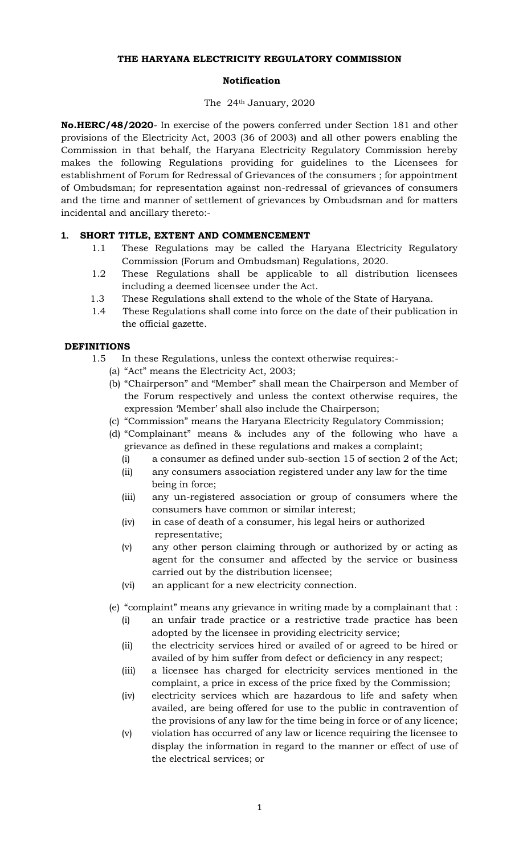### **THE HARYANA ELECTRICITY REGULATORY COMMISSION**

### **Notification**

### The 24th January, 2020

**No.HERC/48/2020**- In exercise of the powers conferred under Section 181 and other provisions of the Electricity Act, 2003 (36 of 2003) and all other powers enabling the Commission in that behalf, the Haryana Electricity Regulatory Commission hereby makes the following Regulations providing for guidelines to the Licensees for establishment of Forum for Redressal of Grievances of the consumers ; for appointment of Ombudsman; for representation against non-redressal of grievances of consumers and the time and manner of settlement of grievances by Ombudsman and for matters incidental and ancillary thereto:-

# **1. SHORT TITLE, EXTENT AND COMMENCEMENT**

- 1.1 These Regulations may be called the Haryana Electricity Regulatory Commission (Forum and Ombudsman) Regulations, 2020.
- 1.2 These Regulations shall be applicable to all distribution licensees including a deemed licensee under the Act.
- 1.3 These Regulations shall extend to the whole of the State of Haryana.
- 1.4 These Regulations shall come into force on the date of their publication in the official gazette.

# **DEFINITIONS**

- 1.5 In these Regulations, unless the context otherwise requires:-
	- (a) "Act" means the Electricity Act, 2003;
	- (b) "Chairperson" and "Member" shall mean the Chairperson and Member of the Forum respectively and unless the context otherwise requires, the expression 'Member' shall also include the Chairperson;
	- (c) "Commission" means the Haryana Electricity Regulatory Commission;
	- (d) "Complainant" means & includes any of the following who have a grievance as defined in these regulations and makes a complaint;
		- (i) a consumer as defined under sub-section 15 of section 2 of the Act;
		- (ii) any consumers association registered under any law for the time being in force;
		- (iii) any un-registered association or group of consumers where the consumers have common or similar interest;
		- (iv) in case of death of a consumer, his legal heirs or authorized representative;
		- (v) any other person claiming through or authorized by or acting as agent for the consumer and affected by the service or business carried out by the distribution licensee;
		- (vi) an applicant for a new electricity connection.
	- (e) "complaint" means any grievance in writing made by a complainant that :
		- (i) an unfair trade practice or a restrictive trade practice has been adopted by the licensee in providing electricity service;
		- (ii) the electricity services hired or availed of or agreed to be hired or availed of by him suffer from defect or deficiency in any respect;
		- (iii) a licensee has charged for electricity services mentioned in the complaint, a price in excess of the price fixed by the Commission;
		- (iv) electricity services which are hazardous to life and safety when availed, are being offered for use to the public in contravention of the provisions of any law for the time being in force or of any licence;
		- (v) violation has occurred of any law or licence requiring the licensee to display the information in regard to the manner or effect of use of the electrical services; or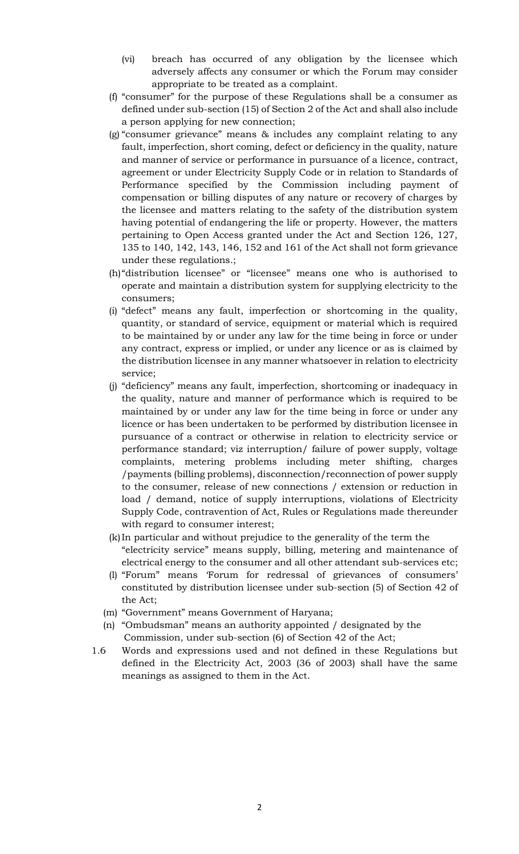- (vi) breach has occurred of any obligation by the licensee which adversely affects any consumer or which the Forum may consider appropriate to be treated as a complaint.
- (f) "consumer" for the purpose of these Regulations shall be a consumer as defined under sub-section (15) of Section 2 of the Act and shall also include a person applying for new connection;
- (g) "consumer grievance" means & includes any complaint relating to any fault, imperfection, short coming, defect or deficiency in the quality, nature and manner of service or performance in pursuance of a licence, contract, agreement or under Electricity Supply Code or in relation to Standards of Performance specified by the Commission including payment of compensation or billing disputes of any nature or recovery of charges by the licensee and matters relating to the safety of the distribution system having potential of endangering the life or property. However, the matters pertaining to Open Access granted under the Act and Section 126, 127, 135 to 140, 142, 143, 146, 152 and 161 of the Act shall not form grievance under these regulations.;
- (h)"distribution licensee" or "licensee" means one who is authorised to operate and maintain a distribution system for supplying electricity to the consumers;
- (i) "defect" means any fault, imperfection or shortcoming in the quality, quantity, or standard of service, equipment or material which is required to be maintained by or under any law for the time being in force or under any contract, express or implied, or under any licence or as is claimed by the distribution licensee in any manner whatsoever in relation to electricity service;
- (j) "deficiency" means any fault, imperfection, shortcoming or inadequacy in the quality, nature and manner of performance which is required to be maintained by or under any law for the time being in force or under any licence or has been undertaken to be performed by distribution licensee in pursuance of a contract or otherwise in relation to electricity service or performance standard; viz interruption/ failure of power supply, voltage complaints, metering problems including meter shifting, charges /payments (billing problems), disconnection/reconnection of power supply to the consumer, release of new connections / extension or reduction in load / demand, notice of supply interruptions, violations of Electricity Supply Code, contravention of Act, Rules or Regulations made thereunder with regard to consumer interest;
- (k)In particular and without prejudice to the generality of the term the "electricity service" means supply, billing, metering and maintenance of electrical energy to the consumer and all other attendant sub-services etc;
- (l) "Forum" means 'Forum for redressal of grievances of consumers' constituted by distribution licensee under sub-section (5) of Section 42 of the Act;
- (m) "Government" means Government of Haryana;
- (n) "Ombudsman" means an authority appointed / designated by the Commission, under sub-section (6) of Section 42 of the Act;
- 1.6 Words and expressions used and not defined in these Regulations but defined in the Electricity Act, 2003 (36 of 2003) shall have the same meanings as assigned to them in the Act.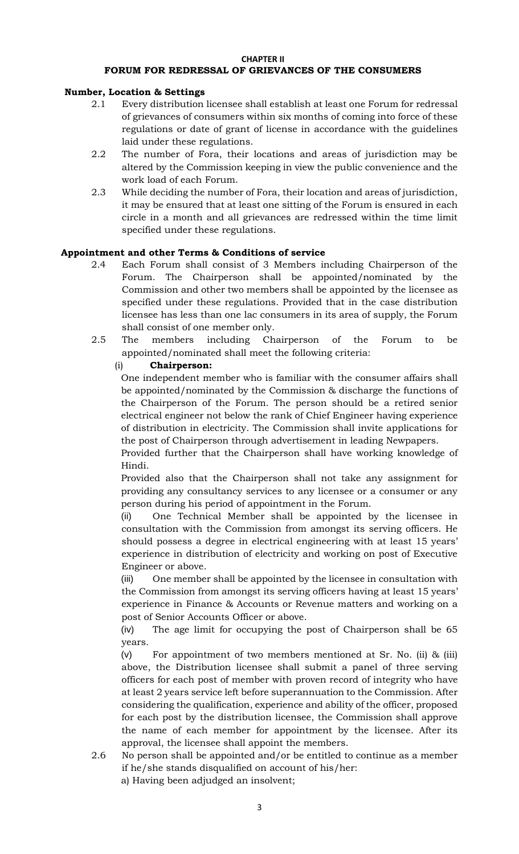#### **CHAPTER II FORUM FOR REDRESSAL OF GRIEVANCES OF THE CONSUMERS**

# **Number, Location & Settings**

- 2.1 Every distribution licensee shall establish at least one Forum for redressal of grievances of consumers within six months of coming into force of these regulations or date of grant of license in accordance with the guidelines laid under these regulations.
- 2.2 The number of Fora, their locations and areas of jurisdiction may be altered by the Commission keeping in view the public convenience and the work load of each Forum.
- 2.3 While deciding the number of Fora, their location and areas of jurisdiction, it may be ensured that at least one sitting of the Forum is ensured in each circle in a month and all grievances are redressed within the time limit specified under these regulations.

## **Appointment and other Terms & Conditions of service**

- 2.4 Each Forum shall consist of 3 Members including Chairperson of the Forum. The Chairperson shall be appointed/nominated by the Commission and other two members shall be appointed by the licensee as specified under these regulations. Provided that in the case distribution licensee has less than one lac consumers in its area of supply, the Forum shall consist of one member only.
- 2.5 The members including Chairperson of the Forum to be appointed/nominated shall meet the following criteria:

## (i) **Chairperson:**

One independent member who is familiar with the consumer affairs shall be appointed/nominated by the Commission & discharge the functions of the Chairperson of the Forum. The person should be a retired senior electrical engineer not below the rank of Chief Engineer having experience of distribution in electricity. The Commission shall invite applications for the post of Chairperson through advertisement in leading Newpapers.

Provided further that the Chairperson shall have working knowledge of Hindi.

Provided also that the Chairperson shall not take any assignment for providing any consultancy services to any licensee or a consumer or any person during his period of appointment in the Forum.

(ii) One Technical Member shall be appointed by the licensee in consultation with the Commission from amongst its serving officers. He should possess a degree in electrical engineering with at least 15 years' experience in distribution of electricity and working on post of Executive Engineer or above.

(iii) One member shall be appointed by the licensee in consultation with the Commission from amongst its serving officers having at least 15 years' experience in Finance & Accounts or Revenue matters and working on a post of Senior Accounts Officer or above.

(iv) The age limit for occupying the post of Chairperson shall be 65 years.

(v) For appointment of two members mentioned at Sr. No. (ii) & (iii) above, the Distribution licensee shall submit a panel of three serving officers for each post of member with proven record of integrity who have at least 2 years service left before superannuation to the Commission. After considering the qualification, experience and ability of the officer, proposed for each post by the distribution licensee, the Commission shall approve the name of each member for appointment by the licensee. After its approval, the licensee shall appoint the members.

- 2.6 No person shall be appointed and/or be entitled to continue as a member if he/she stands disqualified on account of his/her:
	- a) Having been adjudged an insolvent;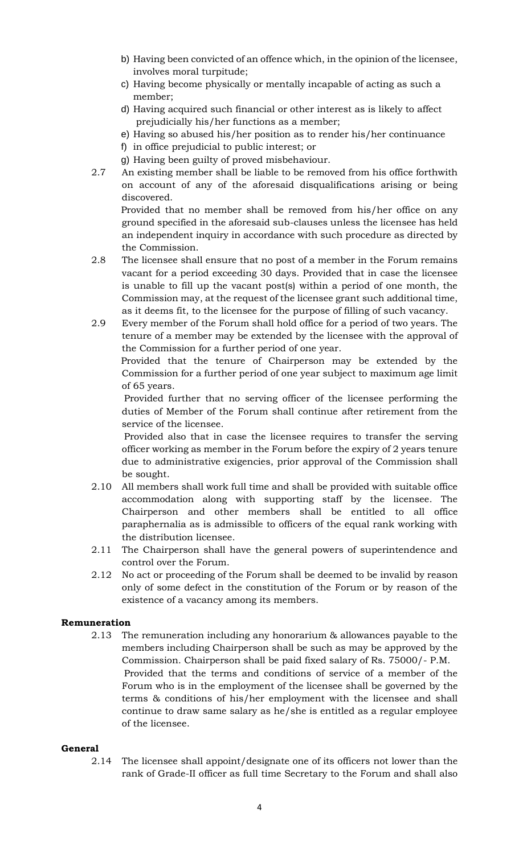- b) Having been convicted of an offence which, in the opinion of the licensee, involves moral turpitude;
- c) Having become physically or mentally incapable of acting as such a member;
- d) Having acquired such financial or other interest as is likely to affect prejudicially his/her functions as a member;
- e) Having so abused his/her position as to render his/her continuance
- f) in office prejudicial to public interest; or
- g) Having been guilty of proved misbehaviour.
- 2.7 An existing member shall be liable to be removed from his office forthwith on account of any of the aforesaid disqualifications arising or being discovered.

 Provided that no member shall be removed from his/her office on any ground specified in the aforesaid sub-clauses unless the licensee has held an independent inquiry in accordance with such procedure as directed by the Commission.

- 2.8 The licensee shall ensure that no post of a member in the Forum remains vacant for a period exceeding 30 days. Provided that in case the licensee is unable to fill up the vacant post(s) within a period of one month, the Commission may, at the request of the licensee grant such additional time, as it deems fit, to the licensee for the purpose of filling of such vacancy.
- 2.9 Every member of the Forum shall hold office for a period of two years. The tenure of a member may be extended by the licensee with the approval of the Commission for a further period of one year.

 Provided that the tenure of Chairperson may be extended by the Commission for a further period of one year subject to maximum age limit of 65 years.

 Provided further that no serving officer of the licensee performing the duties of Member of the Forum shall continue after retirement from the service of the licensee.

 Provided also that in case the licensee requires to transfer the serving officer working as member in the Forum before the expiry of 2 years tenure due to administrative exigencies, prior approval of the Commission shall be sought.

- 2.10 All members shall work full time and shall be provided with suitable office accommodation along with supporting staff by the licensee. The Chairperson and other members shall be entitled to all office paraphernalia as is admissible to officers of the equal rank working with the distribution licensee.
- 2.11 The Chairperson shall have the general powers of superintendence and control over the Forum.
- 2.12 No act or proceeding of the Forum shall be deemed to be invalid by reason only of some defect in the constitution of the Forum or by reason of the existence of a vacancy among its members.

# **Remuneration**

2.13 The remuneration including any honorarium & allowances payable to the members including Chairperson shall be such as may be approved by the Commission. Chairperson shall be paid fixed salary of Rs. 75000/- P.M. Provided that the terms and conditions of service of a member of the Forum who is in the employment of the licensee shall be governed by the terms & conditions of his/her employment with the licensee and shall continue to draw same salary as he/she is entitled as a regular employee of the licensee.

# **General**

2.14 The licensee shall appoint/designate one of its officers not lower than the rank of Grade-II officer as full time Secretary to the Forum and shall also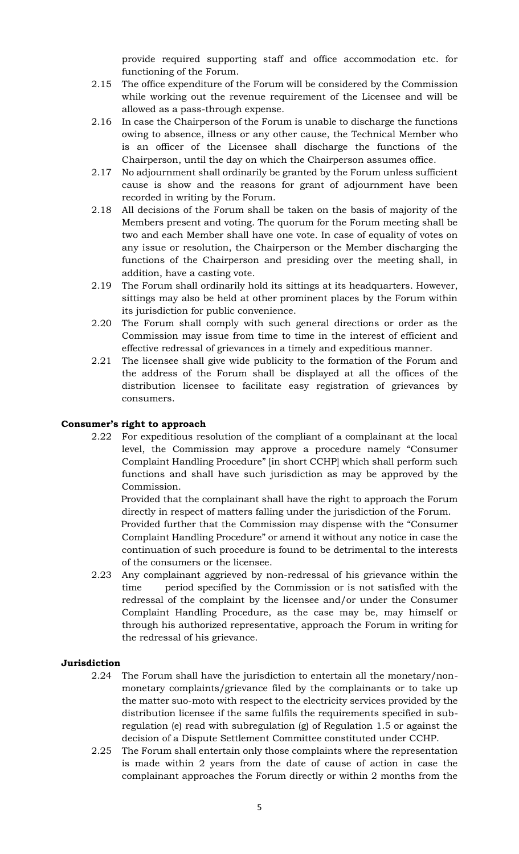provide required supporting staff and office accommodation etc. for functioning of the Forum.

- 2.15 The office expenditure of the Forum will be considered by the Commission while working out the revenue requirement of the Licensee and will be allowed as a pass-through expense.
- 2.16 In case the Chairperson of the Forum is unable to discharge the functions owing to absence, illness or any other cause, the Technical Member who is an officer of the Licensee shall discharge the functions of the Chairperson, until the day on which the Chairperson assumes office.
- 2.17 No adjournment shall ordinarily be granted by the Forum unless sufficient cause is show and the reasons for grant of adjournment have been recorded in writing by the Forum.
- 2.18 All decisions of the Forum shall be taken on the basis of majority of the Members present and voting. The quorum for the Forum meeting shall be two and each Member shall have one vote. In case of equality of votes on any issue or resolution, the Chairperson or the Member discharging the functions of the Chairperson and presiding over the meeting shall, in addition, have a casting vote.
- 2.19 The Forum shall ordinarily hold its sittings at its headquarters. However, sittings may also be held at other prominent places by the Forum within its jurisdiction for public convenience.
- 2.20 The Forum shall comply with such general directions or order as the Commission may issue from time to time in the interest of efficient and effective redressal of grievances in a timely and expeditious manner.
- 2.21 The licensee shall give wide publicity to the formation of the Forum and the address of the Forum shall be displayed at all the offices of the distribution licensee to facilitate easy registration of grievances by consumers.

# **Consumer's right to approach**

2.22 For expeditious resolution of the compliant of a complainant at the local level, the Commission may approve a procedure namely "Consumer Complaint Handling Procedure" [in short CCHP] which shall perform such functions and shall have such jurisdiction as may be approved by the Commission.

 Provided that the complainant shall have the right to approach the Forum directly in respect of matters falling under the jurisdiction of the Forum. Provided further that the Commission may dispense with the "Consumer Complaint Handling Procedure" or amend it without any notice in case the continuation of such procedure is found to be detrimental to the interests of the consumers or the licensee.

2.23 Any complainant aggrieved by non-redressal of his grievance within the time period specified by the Commission or is not satisfied with the redressal of the complaint by the licensee and/or under the Consumer Complaint Handling Procedure, as the case may be, may himself or through his authorized representative, approach the Forum in writing for the redressal of his grievance.

## **Jurisdiction**

- 2.24 The Forum shall have the jurisdiction to entertain all the monetary/nonmonetary complaints/grievance filed by the complainants or to take up the matter suo-moto with respect to the electricity services provided by the distribution licensee if the same fulfils the requirements specified in subregulation (e) read with subregulation (g) of Regulation 1.5 or against the decision of a Dispute Settlement Committee constituted under CCHP.
- 2.25 The Forum shall entertain only those complaints where the representation is made within 2 years from the date of cause of action in case the complainant approaches the Forum directly or within 2 months from the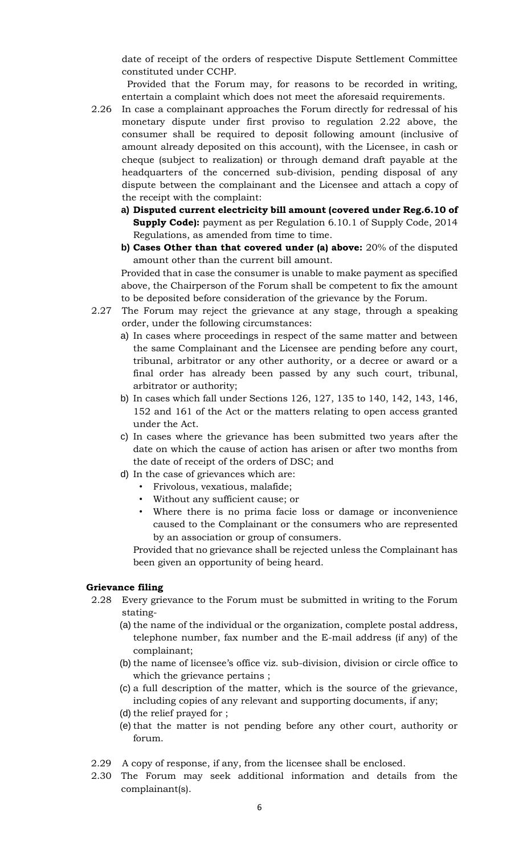date of receipt of the orders of respective Dispute Settlement Committee constituted under CCHP.

 Provided that the Forum may, for reasons to be recorded in writing, entertain a complaint which does not meet the aforesaid requirements.

- 2.26 In case a complainant approaches the Forum directly for redressal of his monetary dispute under first proviso to regulation 2.22 above, the consumer shall be required to deposit following amount (inclusive of amount already deposited on this account), with the Licensee, in cash or cheque (subject to realization) or through demand draft payable at the headquarters of the concerned sub-division, pending disposal of any dispute between the complainant and the Licensee and attach a copy of the receipt with the complaint:
	- **a) Disputed current electricity bill amount (covered under Reg.6.10 of Supply Code):** payment as per Regulation 6.10.1 of Supply Code, 2014 Regulations, as amended from time to time.
	- **b) Cases Other than that covered under (a) above:** 20% of the disputed amount other than the current bill amount.

Provided that in case the consumer is unable to make payment as specified above, the Chairperson of the Forum shall be competent to fix the amount to be deposited before consideration of the grievance by the Forum.

- 2.27 The Forum may reject the grievance at any stage, through a speaking order, under the following circumstances:
	- a) In cases where proceedings in respect of the same matter and between the same Complainant and the Licensee are pending before any court, tribunal, arbitrator or any other authority, or a decree or award or a final order has already been passed by any such court, tribunal, arbitrator or authority;
	- b) In cases which fall under Sections 126, 127, 135 to 140, 142, 143, 146, 152 and 161 of the Act or the matters relating to open access granted under the Act.
	- c) In cases where the grievance has been submitted two years after the date on which the cause of action has arisen or after two months from the date of receipt of the orders of DSC; and
	- d) In the case of grievances which are:
		- Frivolous, vexatious, malafide;
		- Without any sufficient cause; or
		- Where there is no prima facie loss or damage or inconvenience caused to the Complainant or the consumers who are represented by an association or group of consumers.

Provided that no grievance shall be rejected unless the Complainant has been given an opportunity of being heard.

#### **Grievance filing**

- 2.28 Every grievance to the Forum must be submitted in writing to the Forum stating-
	- (a) the name of the individual or the organization, complete postal address, telephone number, fax number and the E-mail address (if any) of the complainant;
	- (b) the name of licensee's office viz. sub-division, division or circle office to which the grievance pertains ;
	- (c) a full description of the matter, which is the source of the grievance, including copies of any relevant and supporting documents, if any;
	- (d) the relief prayed for ;
	- (e) that the matter is not pending before any other court, authority or forum.
- 2.29 A copy of response, if any, from the licensee shall be enclosed.
- 2.30 The Forum may seek additional information and details from the complainant(s).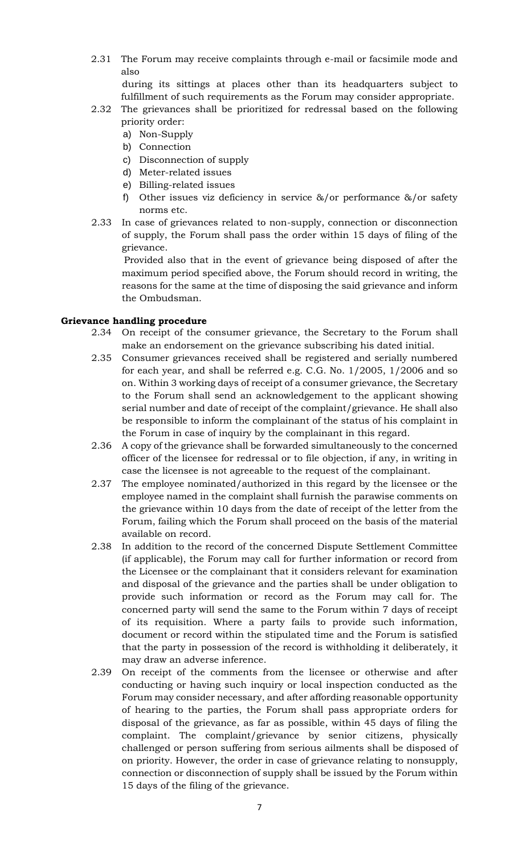2.31 The Forum may receive complaints through e-mail or facsimile mode and also

during its sittings at places other than its headquarters subject to fulfillment of such requirements as the Forum may consider appropriate.

- 2.32 The grievances shall be prioritized for redressal based on the following priority order:
	- a) Non-Supply
	- b) Connection
	- c) Disconnection of supply
	- d) Meter-related issues
	- e) Billing-related issues
	- f) Other issues viz deficiency in service &/or performance &/or safety norms etc.
- 2.33 In case of grievances related to non-supply, connection or disconnection of supply, the Forum shall pass the order within 15 days of filing of the grievance.

 Provided also that in the event of grievance being disposed of after the maximum period specified above, the Forum should record in writing, the reasons for the same at the time of disposing the said grievance and inform the Ombudsman.

# **Grievance handling procedure**

- 2.34 On receipt of the consumer grievance, the Secretary to the Forum shall make an endorsement on the grievance subscribing his dated initial.
- 2.35 Consumer grievances received shall be registered and serially numbered for each year, and shall be referred e.g. C.G. No. 1/2005, 1/2006 and so on. Within 3 working days of receipt of a consumer grievance, the Secretary to the Forum shall send an acknowledgement to the applicant showing serial number and date of receipt of the complaint/grievance. He shall also be responsible to inform the complainant of the status of his complaint in the Forum in case of inquiry by the complainant in this regard.
- 2.36 A copy of the grievance shall be forwarded simultaneously to the concerned officer of the licensee for redressal or to file objection, if any, in writing in case the licensee is not agreeable to the request of the complainant.
- 2.37 The employee nominated/authorized in this regard by the licensee or the employee named in the complaint shall furnish the parawise comments on the grievance within 10 days from the date of receipt of the letter from the Forum, failing which the Forum shall proceed on the basis of the material available on record.
- 2.38 In addition to the record of the concerned Dispute Settlement Committee (if applicable), the Forum may call for further information or record from the Licensee or the complainant that it considers relevant for examination and disposal of the grievance and the parties shall be under obligation to provide such information or record as the Forum may call for. The concerned party will send the same to the Forum within 7 days of receipt of its requisition. Where a party fails to provide such information, document or record within the stipulated time and the Forum is satisfied that the party in possession of the record is withholding it deliberately, it may draw an adverse inference.
- 2.39 On receipt of the comments from the licensee or otherwise and after conducting or having such inquiry or local inspection conducted as the Forum may consider necessary, and after affording reasonable opportunity of hearing to the parties, the Forum shall pass appropriate orders for disposal of the grievance, as far as possible, within 45 days of filing the complaint. The complaint/grievance by senior citizens, physically challenged or person suffering from serious ailments shall be disposed of on priority. However, the order in case of grievance relating to nonsupply, connection or disconnection of supply shall be issued by the Forum within 15 days of the filing of the grievance.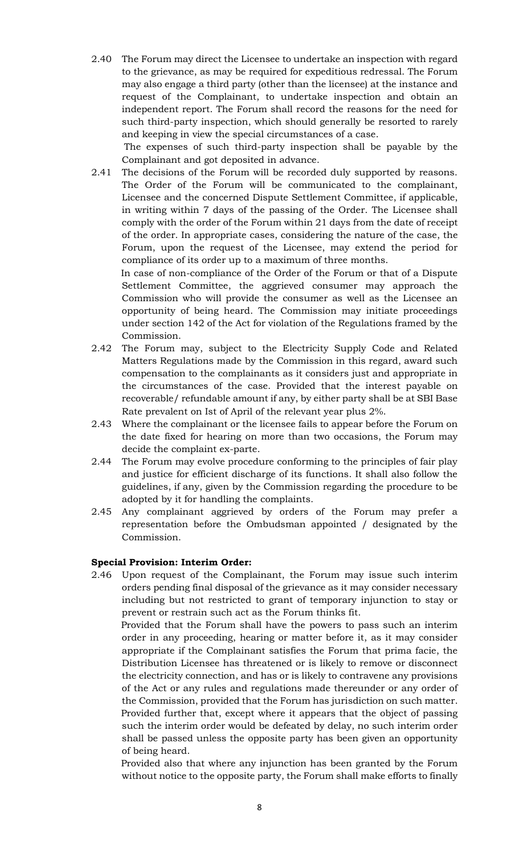2.40 The Forum may direct the Licensee to undertake an inspection with regard to the grievance, as may be required for expeditious redressal. The Forum may also engage a third party (other than the licensee) at the instance and request of the Complainant, to undertake inspection and obtain an independent report. The Forum shall record the reasons for the need for such third-party inspection, which should generally be resorted to rarely and keeping in view the special circumstances of a case.

 The expenses of such third-party inspection shall be payable by the Complainant and got deposited in advance.

2.41 The decisions of the Forum will be recorded duly supported by reasons. The Order of the Forum will be communicated to the complainant, Licensee and the concerned Dispute Settlement Committee, if applicable, in writing within 7 days of the passing of the Order. The Licensee shall comply with the order of the Forum within 21 days from the date of receipt of the order. In appropriate cases, considering the nature of the case, the Forum, upon the request of the Licensee, may extend the period for compliance of its order up to a maximum of three months.

 In case of non-compliance of the Order of the Forum or that of a Dispute Settlement Committee, the aggrieved consumer may approach the Commission who will provide the consumer as well as the Licensee an opportunity of being heard. The Commission may initiate proceedings under section 142 of the Act for violation of the Regulations framed by the Commission.

- 2.42 The Forum may, subject to the Electricity Supply Code and Related Matters Regulations made by the Commission in this regard, award such compensation to the complainants as it considers just and appropriate in the circumstances of the case. Provided that the interest payable on recoverable/ refundable amount if any, by either party shall be at SBI Base Rate prevalent on Ist of April of the relevant year plus 2%.
- 2.43 Where the complainant or the licensee fails to appear before the Forum on the date fixed for hearing on more than two occasions, the Forum may decide the complaint ex-parte.
- 2.44 The Forum may evolve procedure conforming to the principles of fair play and justice for efficient discharge of its functions. It shall also follow the guidelines, if any, given by the Commission regarding the procedure to be adopted by it for handling the complaints.
- 2.45 Any complainant aggrieved by orders of the Forum may prefer a representation before the Ombudsman appointed / designated by the Commission.

## **Special Provision: Interim Order:**

2.46 Upon request of the Complainant, the Forum may issue such interim orders pending final disposal of the grievance as it may consider necessary including but not restricted to grant of temporary injunction to stay or prevent or restrain such act as the Forum thinks fit.

 Provided that the Forum shall have the powers to pass such an interim order in any proceeding, hearing or matter before it, as it may consider appropriate if the Complainant satisfies the Forum that prima facie, the Distribution Licensee has threatened or is likely to remove or disconnect the electricity connection, and has or is likely to contravene any provisions of the Act or any rules and regulations made thereunder or any order of the Commission, provided that the Forum has jurisdiction on such matter. Provided further that, except where it appears that the object of passing such the interim order would be defeated by delay, no such interim order shall be passed unless the opposite party has been given an opportunity of being heard.

 Provided also that where any injunction has been granted by the Forum without notice to the opposite party, the Forum shall make efforts to finally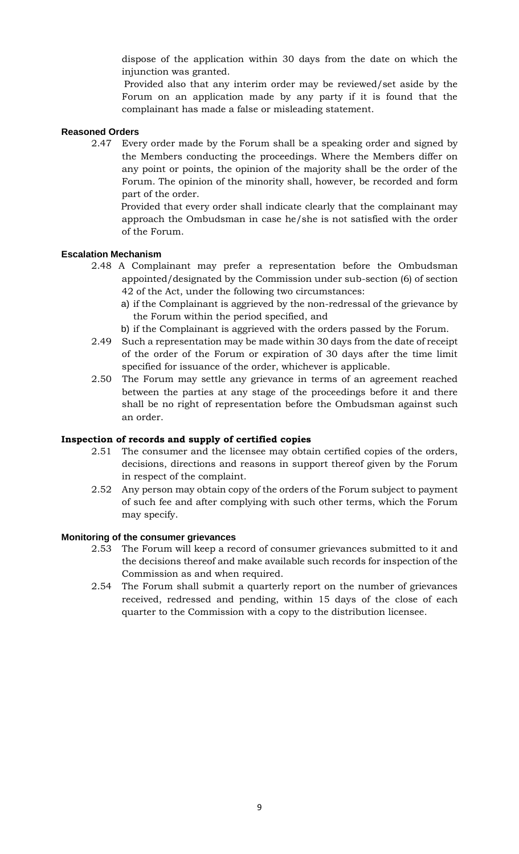dispose of the application within 30 days from the date on which the injunction was granted.

 Provided also that any interim order may be reviewed/set aside by the Forum on an application made by any party if it is found that the complainant has made a false or misleading statement.

# **Reasoned Orders**

2.47 Every order made by the Forum shall be a speaking order and signed by the Members conducting the proceedings. Where the Members differ on any point or points, the opinion of the majority shall be the order of the Forum. The opinion of the minority shall, however, be recorded and form part of the order.

 Provided that every order shall indicate clearly that the complainant may approach the Ombudsman in case he/she is not satisfied with the order of the Forum.

## **Escalation Mechanism**

- 2.48 A Complainant may prefer a representation before the Ombudsman appointed/designated by the Commission under sub-section (6) of section 42 of the Act, under the following two circumstances:
	- a) if the Complainant is aggrieved by the non-redressal of the grievance by the Forum within the period specified, and
	- b) if the Complainant is aggrieved with the orders passed by the Forum.
- 2.49 Such a representation may be made within 30 days from the date of receipt of the order of the Forum or expiration of 30 days after the time limit specified for issuance of the order, whichever is applicable.
- 2.50 The Forum may settle any grievance in terms of an agreement reached between the parties at any stage of the proceedings before it and there shall be no right of representation before the Ombudsman against such an order.

## **Inspection of records and supply of certified copies**

- 2.51 The consumer and the licensee may obtain certified copies of the orders, decisions, directions and reasons in support thereof given by the Forum in respect of the complaint.
- 2.52 Any person may obtain copy of the orders of the Forum subject to payment of such fee and after complying with such other terms, which the Forum may specify.

## **Monitoring of the consumer grievances**

- 2.53 The Forum will keep a record of consumer grievances submitted to it and the decisions thereof and make available such records for inspection of the Commission as and when required.
- 2.54 The Forum shall submit a quarterly report on the number of grievances received, redressed and pending, within 15 days of the close of each quarter to the Commission with a copy to the distribution licensee.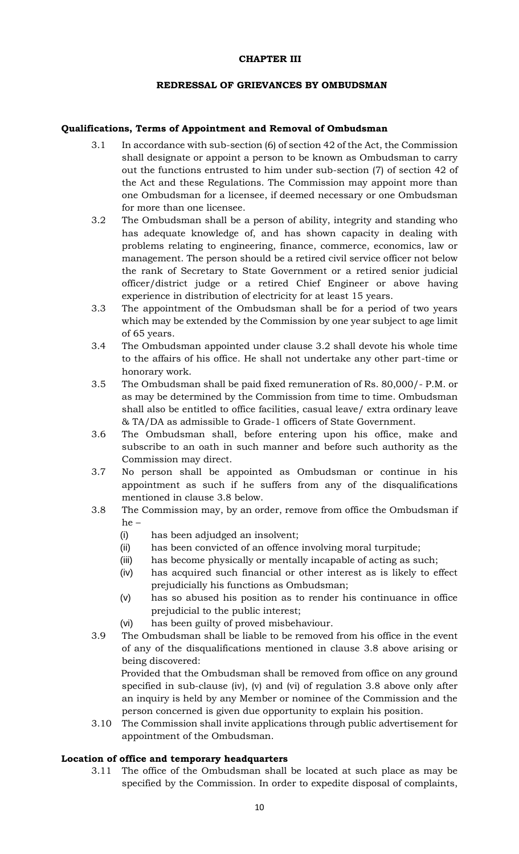### **CHAPTER III**

### **REDRESSAL OF GRIEVANCES BY OMBUDSMAN**

### **Qualifications, Terms of Appointment and Removal of Ombudsman**

- 3.1 In accordance with sub-section (6) of section 42 of the Act, the Commission shall designate or appoint a person to be known as Ombudsman to carry out the functions entrusted to him under sub-section (7) of section 42 of the Act and these Regulations. The Commission may appoint more than one Ombudsman for a licensee, if deemed necessary or one Ombudsman for more than one licensee.
- 3.2 The Ombudsman shall be a person of ability, integrity and standing who has adequate knowledge of, and has shown capacity in dealing with problems relating to engineering, finance, commerce, economics, law or management. The person should be a retired civil service officer not below the rank of Secretary to State Government or a retired senior judicial officer/district judge or a retired Chief Engineer or above having experience in distribution of electricity for at least 15 years.
- 3.3 The appointment of the Ombudsman shall be for a period of two years which may be extended by the Commission by one year subject to age limit of 65 years.
- 3.4 The Ombudsman appointed under clause 3.2 shall devote his whole time to the affairs of his office. He shall not undertake any other part-time or honorary work.
- 3.5 The Ombudsman shall be paid fixed remuneration of Rs. 80,000/- P.M. or as may be determined by the Commission from time to time. Ombudsman shall also be entitled to office facilities, casual leave/ extra ordinary leave & TA/DA as admissible to Grade-1 officers of State Government.
- 3.6 The Ombudsman shall, before entering upon his office, make and subscribe to an oath in such manner and before such authority as the Commission may direct.
- 3.7 No person shall be appointed as Ombudsman or continue in his appointment as such if he suffers from any of the disqualifications mentioned in clause 3.8 below.
- 3.8 The Commission may, by an order, remove from office the Ombudsman if he –
	- (i) has been adjudged an insolvent;
	- (ii) has been convicted of an offence involving moral turpitude;
	- (iii) has become physically or mentally incapable of acting as such;
	- (iv) has acquired such financial or other interest as is likely to effect prejudicially his functions as Ombudsman;
	- (v) has so abused his position as to render his continuance in office prejudicial to the public interest;
	- (vi) has been guilty of proved misbehaviour.
- 3.9 The Ombudsman shall be liable to be removed from his office in the event of any of the disqualifications mentioned in clause 3.8 above arising or being discovered:

 Provided that the Ombudsman shall be removed from office on any ground specified in sub-clause (iv), (v) and (vi) of regulation 3.8 above only after an inquiry is held by any Member or nominee of the Commission and the person concerned is given due opportunity to explain his position.

3.10 The Commission shall invite applications through public advertisement for appointment of the Ombudsman.

## **Location of office and temporary headquarters**

3.11 The office of the Ombudsman shall be located at such place as may be specified by the Commission. In order to expedite disposal of complaints,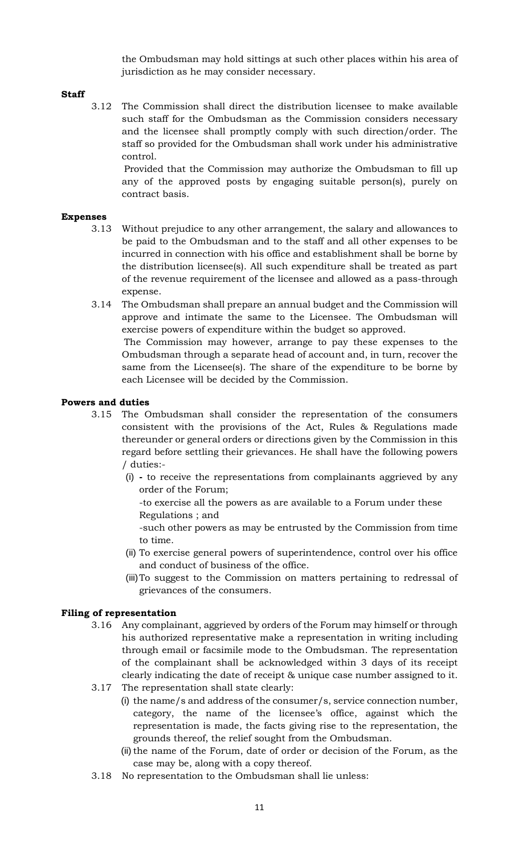the Ombudsman may hold sittings at such other places within his area of jurisdiction as he may consider necessary.

# **Staff**

3.12 The Commission shall direct the distribution licensee to make available such staff for the Ombudsman as the Commission considers necessary and the licensee shall promptly comply with such direction/order. The staff so provided for the Ombudsman shall work under his administrative control.

 Provided that the Commission may authorize the Ombudsman to fill up any of the approved posts by engaging suitable person(s), purely on contract basis.

### **Expenses**

- 3.13 Without prejudice to any other arrangement, the salary and allowances to be paid to the Ombudsman and to the staff and all other expenses to be incurred in connection with his office and establishment shall be borne by the distribution licensee(s). All such expenditure shall be treated as part of the revenue requirement of the licensee and allowed as a pass-through expense.
- 3.14 The Ombudsman shall prepare an annual budget and the Commission will approve and intimate the same to the Licensee. The Ombudsman will exercise powers of expenditure within the budget so approved. The Commission may however, arrange to pay these expenses to the Ombudsman through a separate head of account and, in turn, recover the same from the Licensee(s). The share of the expenditure to be borne by each Licensee will be decided by the Commission.

### **Powers and duties**

- 3.15 The Ombudsman shall consider the representation of the consumers consistent with the provisions of the Act, Rules & Regulations made thereunder or general orders or directions given by the Commission in this regard before settling their grievances. He shall have the following powers / duties:-
	- (i) **-** to receive the representations from complainants aggrieved by any order of the Forum;
		- -to exercise all the powers as are available to a Forum under these Regulations ; and
		- -such other powers as may be entrusted by the Commission from time to time.
	- (ii) To exercise general powers of superintendence, control over his office and conduct of business of the office.
	- (iii)To suggest to the Commission on matters pertaining to redressal of grievances of the consumers.

## **Filing of representation**

- 3.16 Any complainant, aggrieved by orders of the Forum may himself or through his authorized representative make a representation in writing including through email or facsimile mode to the Ombudsman. The representation of the complainant shall be acknowledged within 3 days of its receipt clearly indicating the date of receipt & unique case number assigned to it.
- 3.17 The representation shall state clearly:
	- (i) the name/s and address of the consumer/s, service connection number, category, the name of the licensee's office, against which the representation is made, the facts giving rise to the representation, the grounds thereof, the relief sought from the Ombudsman.
	- (ii) the name of the Forum, date of order or decision of the Forum, as the case may be, along with a copy thereof.
- 3.18 No representation to the Ombudsman shall lie unless: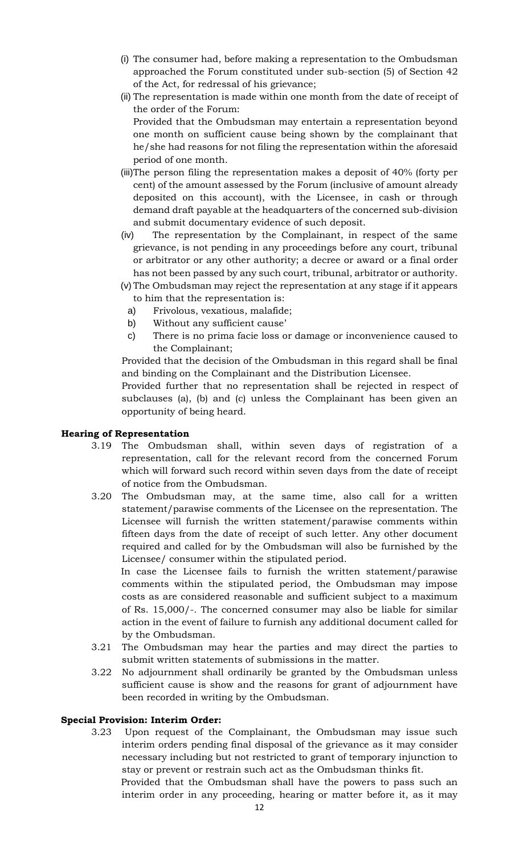- (i) The consumer had, before making a representation to the Ombudsman approached the Forum constituted under sub-section (5) of Section 42 of the Act, for redressal of his grievance;
- (ii) The representation is made within one month from the date of receipt of the order of the Forum:

Provided that the Ombudsman may entertain a representation beyond one month on sufficient cause being shown by the complainant that he/she had reasons for not filing the representation within the aforesaid period of one month.

- (iii)The person filing the representation makes a deposit of 40% (forty per cent) of the amount assessed by the Forum (inclusive of amount already deposited on this account), with the Licensee, in cash or through demand draft payable at the headquarters of the concerned sub-division and submit documentary evidence of such deposit.
- (iv) The representation by the Complainant, in respect of the same grievance, is not pending in any proceedings before any court, tribunal or arbitrator or any other authority; a decree or award or a final order has not been passed by any such court, tribunal, arbitrator or authority.
- (v) The Ombudsman may reject the representation at any stage if it appears to him that the representation is:
	- a) Frivolous, vexatious, malafide;
	- b) Without any sufficient cause'
	- c) There is no prima facie loss or damage or inconvenience caused to the Complainant;

Provided that the decision of the Ombudsman in this regard shall be final and binding on the Complainant and the Distribution Licensee.

Provided further that no representation shall be rejected in respect of subclauses (a), (b) and (c) unless the Complainant has been given an opportunity of being heard.

## **Hearing of Representation**

- 3.19 The Ombudsman shall, within seven days of registration of a representation, call for the relevant record from the concerned Forum which will forward such record within seven days from the date of receipt of notice from the Ombudsman.
- 3.20 The Ombudsman may, at the same time, also call for a written statement/parawise comments of the Licensee on the representation. The Licensee will furnish the written statement/parawise comments within fifteen days from the date of receipt of such letter. Any other document required and called for by the Ombudsman will also be furnished by the Licensee/ consumer within the stipulated period.

 In case the Licensee fails to furnish the written statement/parawise comments within the stipulated period, the Ombudsman may impose costs as are considered reasonable and sufficient subject to a maximum of Rs. 15,000/-. The concerned consumer may also be liable for similar action in the event of failure to furnish any additional document called for by the Ombudsman.

- 3.21 The Ombudsman may hear the parties and may direct the parties to submit written statements of submissions in the matter.
- 3.22 No adjournment shall ordinarily be granted by the Ombudsman unless sufficient cause is show and the reasons for grant of adjournment have been recorded in writing by the Ombudsman.

## **Special Provision: Interim Order:**

3.23 Upon request of the Complainant, the Ombudsman may issue such interim orders pending final disposal of the grievance as it may consider necessary including but not restricted to grant of temporary injunction to stay or prevent or restrain such act as the Ombudsman thinks fit.

 Provided that the Ombudsman shall have the powers to pass such an interim order in any proceeding, hearing or matter before it, as it may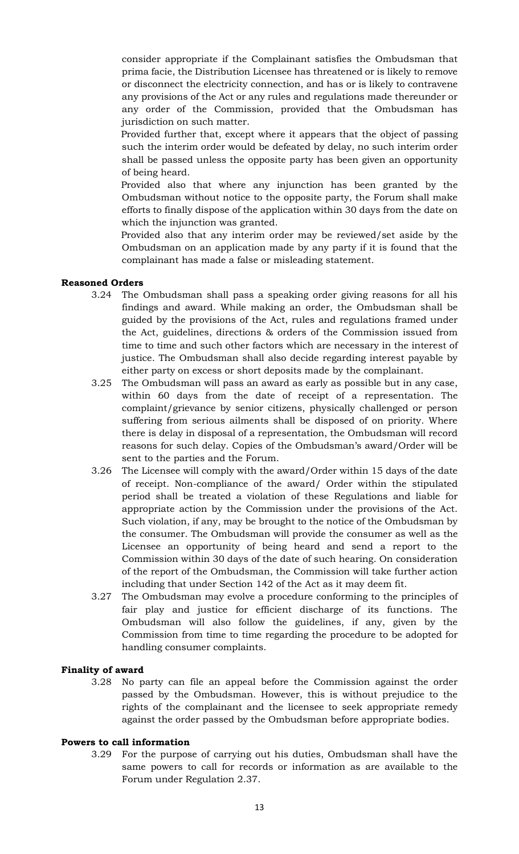consider appropriate if the Complainant satisfies the Ombudsman that prima facie, the Distribution Licensee has threatened or is likely to remove or disconnect the electricity connection, and has or is likely to contravene any provisions of the Act or any rules and regulations made thereunder or any order of the Commission, provided that the Ombudsman has jurisdiction on such matter.

 Provided further that, except where it appears that the object of passing such the interim order would be defeated by delay, no such interim order shall be passed unless the opposite party has been given an opportunity of being heard.

 Provided also that where any injunction has been granted by the Ombudsman without notice to the opposite party, the Forum shall make efforts to finally dispose of the application within 30 days from the date on which the injunction was granted.

 Provided also that any interim order may be reviewed/set aside by the Ombudsman on an application made by any party if it is found that the complainant has made a false or misleading statement.

## **Reasoned Orders**

- 3.24 The Ombudsman shall pass a speaking order giving reasons for all his findings and award. While making an order, the Ombudsman shall be guided by the provisions of the Act, rules and regulations framed under the Act, guidelines, directions & orders of the Commission issued from time to time and such other factors which are necessary in the interest of justice. The Ombudsman shall also decide regarding interest payable by either party on excess or short deposits made by the complainant.
- 3.25 The Ombudsman will pass an award as early as possible but in any case, within 60 days from the date of receipt of a representation. The complaint/grievance by senior citizens, physically challenged or person suffering from serious ailments shall be disposed of on priority. Where there is delay in disposal of a representation, the Ombudsman will record reasons for such delay. Copies of the Ombudsman's award/Order will be sent to the parties and the Forum.
- 3.26 The Licensee will comply with the award/Order within 15 days of the date of receipt. Non-compliance of the award/ Order within the stipulated period shall be treated a violation of these Regulations and liable for appropriate action by the Commission under the provisions of the Act. Such violation, if any, may be brought to the notice of the Ombudsman by the consumer. The Ombudsman will provide the consumer as well as the Licensee an opportunity of being heard and send a report to the Commission within 30 days of the date of such hearing. On consideration of the report of the Ombudsman, the Commission will take further action including that under Section 142 of the Act as it may deem fit.
- 3.27 The Ombudsman may evolve a procedure conforming to the principles of fair play and justice for efficient discharge of its functions. The Ombudsman will also follow the guidelines, if any, given by the Commission from time to time regarding the procedure to be adopted for handling consumer complaints.

## **Finality of award**

3.28 No party can file an appeal before the Commission against the order passed by the Ombudsman. However, this is without prejudice to the rights of the complainant and the licensee to seek appropriate remedy against the order passed by the Ombudsman before appropriate bodies.

#### **Powers to call information**

3.29 For the purpose of carrying out his duties, Ombudsman shall have the same powers to call for records or information as are available to the Forum under Regulation 2.37.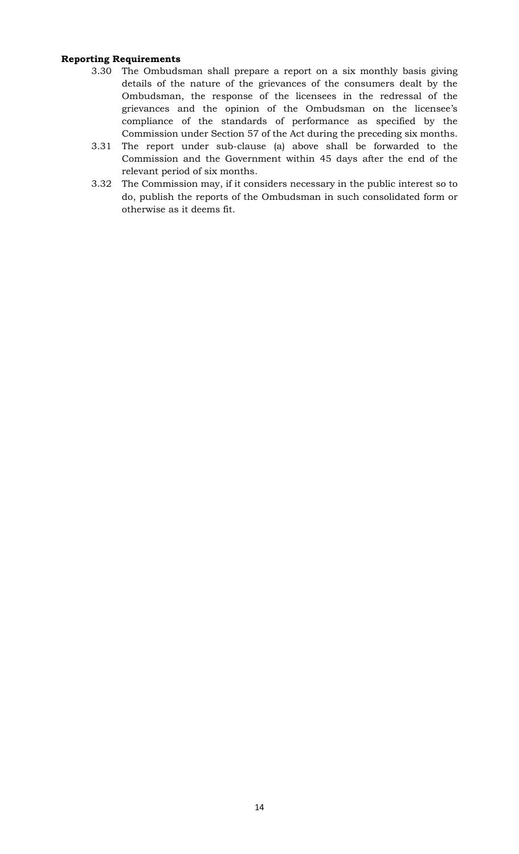## **Reporting Requirements**

- 3.30 The Ombudsman shall prepare a report on a six monthly basis giving details of the nature of the grievances of the consumers dealt by the Ombudsman, the response of the licensees in the redressal of the grievances and the opinion of the Ombudsman on the licensee's compliance of the standards of performance as specified by the Commission under Section 57 of the Act during the preceding six months.
- 3.31 The report under sub-clause (a) above shall be forwarded to the Commission and the Government within 45 days after the end of the relevant period of six months.
- 3.32 The Commission may, if it considers necessary in the public interest so to do, publish the reports of the Ombudsman in such consolidated form or otherwise as it deems fit.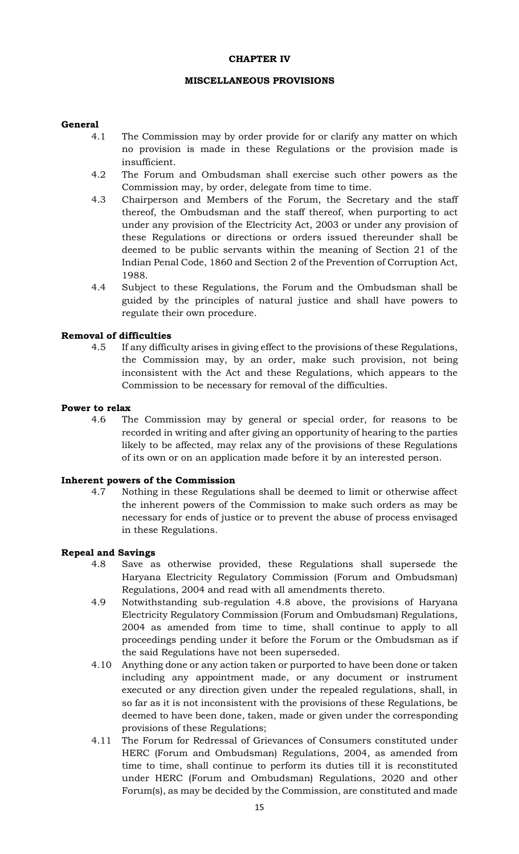#### **CHAPTER IV**

#### **MISCELLANEOUS PROVISIONS**

### **General**

- 4.1 The Commission may by order provide for or clarify any matter on which no provision is made in these Regulations or the provision made is insufficient.
- 4.2 The Forum and Ombudsman shall exercise such other powers as the Commission may, by order, delegate from time to time.
- 4.3 Chairperson and Members of the Forum, the Secretary and the staff thereof, the Ombudsman and the staff thereof, when purporting to act under any provision of the Electricity Act, 2003 or under any provision of these Regulations or directions or orders issued thereunder shall be deemed to be public servants within the meaning of Section 21 of the Indian Penal Code, 1860 and Section 2 of the Prevention of Corruption Act, 1988.
- 4.4 Subject to these Regulations, the Forum and the Ombudsman shall be guided by the principles of natural justice and shall have powers to regulate their own procedure.

### **Removal of difficulties**

4.5 If any difficulty arises in giving effect to the provisions of these Regulations, the Commission may, by an order, make such provision, not being inconsistent with the Act and these Regulations, which appears to the Commission to be necessary for removal of the difficulties.

#### **Power to relax**

4.6 The Commission may by general or special order, for reasons to be recorded in writing and after giving an opportunity of hearing to the parties likely to be affected, may relax any of the provisions of these Regulations of its own or on an application made before it by an interested person.

#### **Inherent powers of the Commission**

4.7 Nothing in these Regulations shall be deemed to limit or otherwise affect the inherent powers of the Commission to make such orders as may be necessary for ends of justice or to prevent the abuse of process envisaged in these Regulations.

#### **Repeal and Savings**

- 4.8 Save as otherwise provided, these Regulations shall supersede the Haryana Electricity Regulatory Commission (Forum and Ombudsman) Regulations, 2004 and read with all amendments thereto.
- 4.9 Notwithstanding sub-regulation 4.8 above, the provisions of Haryana Electricity Regulatory Commission (Forum and Ombudsman) Regulations, 2004 as amended from time to time, shall continue to apply to all proceedings pending under it before the Forum or the Ombudsman as if the said Regulations have not been superseded.
- 4.10 Anything done or any action taken or purported to have been done or taken including any appointment made, or any document or instrument executed or any direction given under the repealed regulations, shall, in so far as it is not inconsistent with the provisions of these Regulations, be deemed to have been done, taken, made or given under the corresponding provisions of these Regulations;
- 4.11 The Forum for Redressal of Grievances of Consumers constituted under HERC (Forum and Ombudsman) Regulations, 2004, as amended from time to time, shall continue to perform its duties till it is reconstituted under HERC (Forum and Ombudsman) Regulations, 2020 and other Forum(s), as may be decided by the Commission, are constituted and made